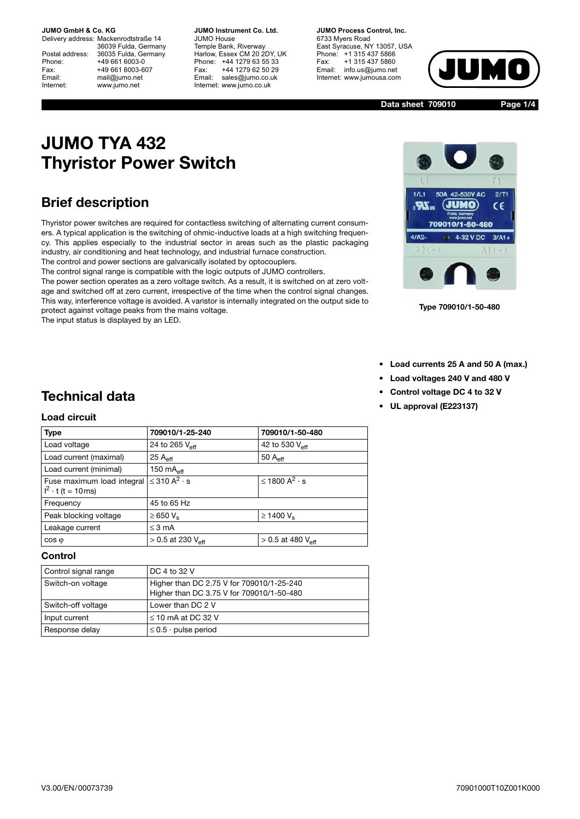Delivery address: Mackenrodtstraße 14 36039 Fulda, Germany Postal address: 36035 Fulda, Germany Phone: +49 661 6003-0 Fax: +49 661 6003-607 Email: mail@jumo.net Internet: www.jumo.net

**JUMO Instrument Co. Ltd.** JUMO House Temple Bank, Riverway Harlow, Essex CM 20 2DY, UK Phone: +44 1279 63 55 33 Fax: +44 1279 62 50 29 Email: sales@jumo.co.uk Internet: www.jumo.co.uk

**JUMO Process Control, Inc.** 6733 Myers Road East Syracuse, NY 13057, USA Phone: +1 315 437 5866 Fax: +1 315 437 5860 Email: info.us@jumo.net Internet: www.jumousa.com



**Data sheet 709010**

**Page 1/4**

# **JUMO TYA 432 Thyristor Power Switch**

### **Brief description**

Thyristor power switches are required for contactless switching of alternating current consumers. A typical application is the switching of ohmic-inductive loads at a high switching frequency. This applies especially to the industrial sector in areas such as the plastic packaging industry, air conditioning and heat technology, and industrial furnace construction. The control and power sections are galvanically isolated by optocouplers.

The control signal range is compatible with the logic outputs of JUMO controllers.

The power section operates as a zero voltage switch. As a result, it is switched on at zero voltage and switched off at zero current, irrespective of the time when the control signal changes. This way, interference voltage is avoided. A varistor is internally integrated on the output side to protect against voltage peaks from the mains voltage.

The input status is displayed by an LED.



**Type 709010/1-50-480**

- **Load currents 25 A and 50 A (max.)**
- **Load voltages 240 V and 480 V**
- **Control voltage DC 4 to 32 V**
- **UL approval (E223137)**

# **Technical data**

### **Load circuit**

| <b>Type</b>                                            | 709010/1-25-240                         | 709010/1-50-480                 |  |
|--------------------------------------------------------|-----------------------------------------|---------------------------------|--|
| Load voltage                                           | 24 to 265 $V_{\text{eff}}$              | 42 to 530 $V_{\text{eff}}$      |  |
| Load current (maximal)                                 | $25A_{\text{eff}}$                      | 50 $A_{\text{eff}}$             |  |
| Load current (minimal)                                 | 150 $mAeff$                             |                                 |  |
| Fuse maximum load integral<br>$I^2 \cdot t$ (t = 10ms) | ≤ 310 $A^2$ · s<br>≤ 1800 $A^2 \cdot s$ |                                 |  |
| Frequency                                              | 45 to 65 Hz                             |                                 |  |
| Peak blocking voltage                                  | $\geq 650 V_s$                          | $\geq$ 1400 V <sub>s</sub>      |  |
| Leakage current                                        | $\leq$ 3 mA                             |                                 |  |
| $\cos \varphi$                                         | $> 0.5$ at 230 $V_{\text{eff}}$         | $> 0.5$ at 480 $V_{\text{eff}}$ |  |

**Control**

| Control signal range | DC 4 to 32 V                                                                           |
|----------------------|----------------------------------------------------------------------------------------|
| Switch-on voltage    | Higher than DC 2.75 V for 709010/1-25-240<br>Higher than DC 3.75 V for 709010/1-50-480 |
| Switch-off voltage   | Lower than DC 2 V                                                                      |
| Input current        | $\leq$ 10 mA at DC 32 V                                                                |
| Response delay       | $\leq$ 0.5 $\cdot$ pulse period                                                        |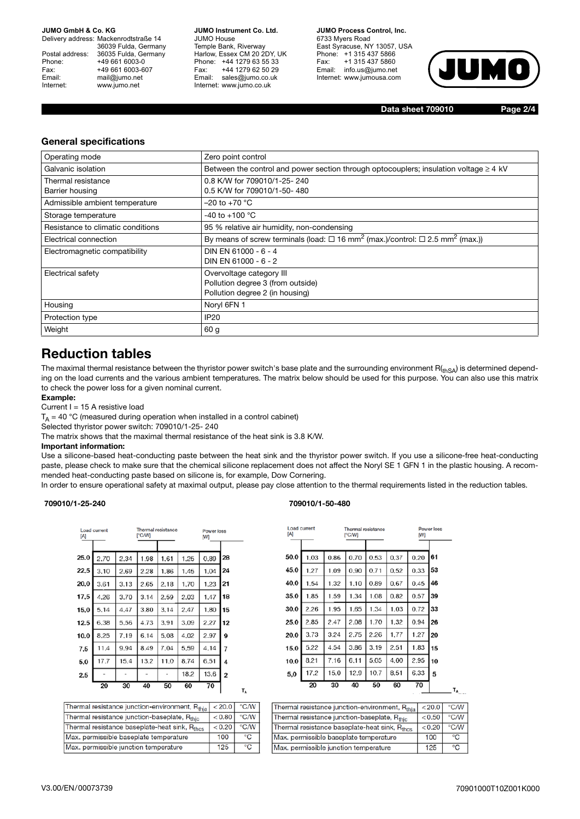Delivery address: Mackenrodtstraße 14 36039 Fulda, Germany Postal address: 36035 Fulda, Germany Phone: +49 661 6003-0 Fax: +49 661 6003-607 Email: mail@jumo.net Internet: www.jumo.net

**JUMO Instrument Co. Ltd.** JUMO House Temple Bank, Riverway Harlow, Essex CM 20 2DY, UK Phone: +44 1279 63 55 33 Fax: +44 1279 62 50 29 Email: sales@jumo.co.uk Internet: www.jumo.co.uk

**JUMO Process Control, Inc.** 6733 Myers Road

East Syracuse, NY 13057, USA Phone: +1 315 437 5866 Fax: +1 315 437 5860 Email: info.us@jumo.net Internet: www.jumousa.com



**Data sheet 709010 Page 2/4**

### **General specifications**

| Operating mode                    | Zero point control                                                                                              |
|-----------------------------------|-----------------------------------------------------------------------------------------------------------------|
| Galvanic isolation                | Between the control and power section through optocouplers; insulation voltage $\geq 4$ kV                      |
| Thermal resistance                | 0.8 K/W for 709010/1-25-240                                                                                     |
| Barrier housing                   | 0.5 K/W for 709010/1-50-480                                                                                     |
| Admissible ambient temperature    | –20 to +70 $^{\circ}$ C                                                                                         |
| Storage temperature               | -40 to +100 $^{\circ}$ C                                                                                        |
| Resistance to climatic conditions | 95 % relative air humidity, non-condensing                                                                      |
| Electrical connection             | By means of screw terminals (load: $\Box$ 16 mm <sup>2</sup> (max.)/control: $\Box$ 2.5 mm <sup>2</sup> (max.)) |
| Electromagnetic compatibility     | DIN EN 61000 - 6 - 4                                                                                            |
|                                   | DIN EN 61000 - 6 - 2                                                                                            |
| Electrical safety                 | Overvoltage category III                                                                                        |
|                                   | Pollution degree 3 (from outside)                                                                               |
|                                   | Pollution degree 2 (in housing)                                                                                 |
| Housing                           | Noryl 6FN 1                                                                                                     |
| Protection type                   | <b>IP20</b>                                                                                                     |
| Weight                            | 60 g                                                                                                            |

### **Reduction tables**

The maximal thermal resistance between the thyristor power switch's base plate and the surrounding environment  $R_{(thSA)}$  is determined depending on the load currents and the various ambient temperatures. The matrix below should be used for this purpose. You can also use this matrix to check the power loss for a given nominal current.

#### **Example:**

Current I = 15 A resistive load

 $T_A$  = 40 °C (measured during operation when installed in a control cabinet)

Selected thyristor power switch: 709010/1-25- 240

The matrix shows that the maximal thermal resistance of the heat sink is 3.8 K/W.

#### **Important information:**

Use a silicone-based heat-conducting paste between the heat sink and the thyristor power switch. If you use a silicone-free heat-conducting paste, please check to make sure that the chemical silicone replacement does not affect the Noryl SE 1 GFN 1 in the plastic housing. A recommended heat-conducting paste based on silicone is, for example, Dow Cornering.

In order to ensure operational safety at maximal output, please pay close attention to the thermal requirements listed in the reduction tables.

 $T_A$ 

#### **709010/1-25-240 709010/1-50-480**

| [A]  | Load current | Thermal resistance<br>I°C/WI |      |                              | Power loss<br>[W] |      |                |
|------|--------------|------------------------------|------|------------------------------|-------------------|------|----------------|
|      |              |                              |      |                              |                   |      |                |
| 25.0 | 2.70         | 2.34                         | 1.98 | 1.61                         | 1.25              | 0.89 | 28             |
| 22,5 | 3.10         | 2.69                         | 2.28 | 1.86                         | 1.45              | 1.04 | 24             |
| 20,0 | 3.61         | 3.13                         | 2.65 | 2.18                         | 1,70              | 1.23 | 21             |
| 17,5 | 4.26         | 3.70                         | 3.14 | 2.59                         | 2.03              | 1.47 | 18             |
| 15,0 | 5.14         | 4.47                         | 3.80 | 3.14                         | 2.47              | 1,80 | 15             |
| 12.5 | 6.38         | 5.56                         | 4.73 | 3.91                         | 3.09              | 2.27 | 12             |
| 10.0 | 8.25         | 7.19                         | 6.14 | 5.08                         | 4.02              | 2.97 | 9              |
| 7,5  | 11.4         | 9.94                         | 8.49 | 7.04                         | 5,59              | 4.14 | 7              |
| 5,0  | 17.7         | 15.4                         | 13.2 | 11.0                         | 8.74              | 6,51 | 4              |
| 2,5  |              |                              |      | $\qquad \qquad \blacksquare$ | 18,2              | 13.6 | $\overline{2}$ |
|      | 20           | 30                           | 40   | 50                           | 60                | 70   |                |

| Thermal resistance junction-environment, Rthia            | < 20.0  | $\degree$ C/W |
|-----------------------------------------------------------|---------|---------------|
| Thermal resistance junction-baseplate, Rthic              | < 0.80  | $\degree$ C/W |
| Thermal resistance baseplate-heat sink, R <sub>thes</sub> | < 0.201 | $\degree$ C/W |
| Max. permissible baseplate temperature                    | 100     | °C            |
| Max. permissible junction temperature                     | 125     | °С            |
|                                                           |         |               |

| Load current<br>[A] |      |      | Thermal resistance<br>[°C/W]<br>ſМ |      |      | Power loss |    |
|---------------------|------|------|------------------------------------|------|------|------------|----|
|                     |      |      |                                    |      |      |            |    |
| 50.0                | 1.03 | 0.86 | 0.70                               | 0.53 | 0.37 | 0.20       | 61 |
| 45.0                | 1.27 | 1.09 | 0.90                               | 0.71 | 0.52 | 0.33       | 53 |
| 40.0                | 1,54 | 1.32 | 1.10                               | 0.89 | 0.67 | 0.45       | 46 |
| 35.0                | 1.85 | 1,59 | 1.34                               | 1.08 | 0.82 | 0.57       | 39 |
| 30,0                | 2.26 | 1.95 | 1.65                               | 1.34 | 1.03 | 0.72       | 33 |
| 25.0                | 2.85 | 2.47 | 2.08                               | 1.70 | 1,32 | 0.94       | 26 |
| 20,0                | 3.73 | 3.24 | 2.75                               | 2.26 | 1,77 | 1.27       | 20 |
| 15,0                | 5.22 | 4.54 | 3.86                               | 3.19 | 2.51 | 1.83       | 15 |
| 10.0                | 8.21 | 7.16 | 6.11                               | 5.05 | 4.00 | 2.95       | 10 |
| 5,0                 | 17.2 | 15.0 | 12.9                               | 10.7 | 8.51 | 6.33       | 5  |
|                     | 20   | 30   | 40                                 | 50   | 60   | 70         | T, |

| Thermal resistance junction-environment, Rthia            | < 20.0 | $^{\circ}$ C/W |
|-----------------------------------------------------------|--------|----------------|
| Thermal resistance junction-baseplate, Rthic              | < 0.50 | $^{\circ}$ C/W |
| Thermal resistance baseplate-heat sink, R <sub>thes</sub> | < 0.20 | $\degree$ C/W  |
| Max, permissible baseplate temperature                    | 100    | ۰c             |
| Max, permissible junction temperature                     | 125    | ۰c             |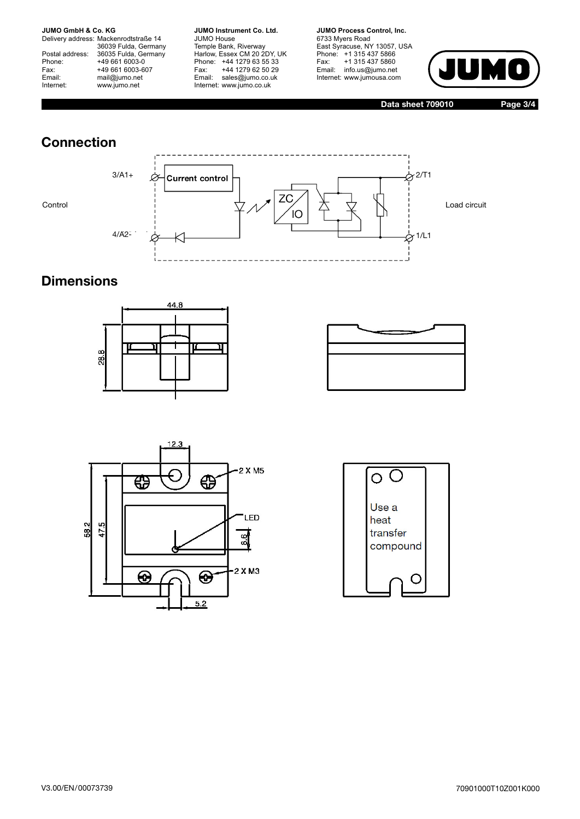Delivery address: Mackenrodtstraße 14 36039 Fulda, Germany Postal address: 36035 Fulda, Germany Phone: +49 661 6003-0<br>Fax: +49 661 6003-60 +49 661 6003-607 Email: mail@jumo.net Internet: www.jumo.net

**JUMO Instrument Co. Ltd.** JUMO House Temple Bank, Riverway Harlow, Essex CM 20 2DY, UK Phone: +44 1279 63 55 33 Fax: +44 1279 62 50 29 Email: sales@jumo.co.uk Internet: www.jumo.co.uk

**JUMO Process Control, Inc.** 6733 Myers Road

East Syracuse, NY 13057, USA Phone: +1 315 437 5866 Fax: +1 315 437 5860 Email: info.us@jumo.net Internet: www.jumousa.com



**Data sheet 709010 Page 3/4**

# **Connection**





# **Dimensions**